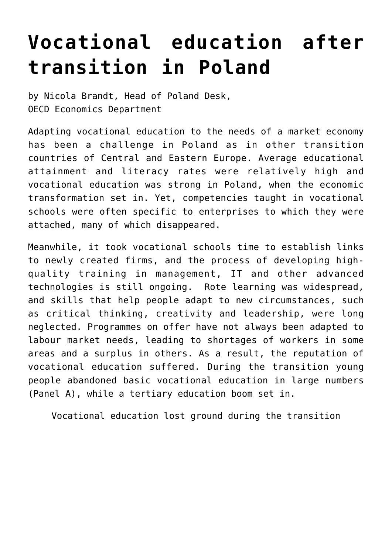## **[Vocational education after](https://oecdecoscope.blog/2016/04/14/vocational-education-after-transition-in-poland/) [transition in Poland](https://oecdecoscope.blog/2016/04/14/vocational-education-after-transition-in-poland/)**

by Nicola Brandt, Head of Poland Desk, OECD Economics Department

Adapting vocational education to the needs of a market economy has been a challenge in Poland as in other transition countries of Central and Eastern Europe. Average educational attainment and literacy rates were relatively high and vocational education was strong in Poland, when the economic transformation set in. Yet, competencies taught in vocational schools were often specific to enterprises to which they were attached, many of which disappeared.

Meanwhile, it took vocational schools time to establish links to newly created firms, and the process of developing highquality training in management, IT and other advanced technologies is still ongoing. Rote learning was widespread, and skills that help people adapt to new circumstances, such as critical thinking, creativity and leadership, were long neglected. Programmes on offer have not always been adapted to labour market needs, leading to shortages of workers in some areas and a surplus in others. As a result, the reputation of vocational education suffered. During the transition young people abandoned basic vocational education in large numbers (Panel A), while a tertiary education boom set in.

Vocational education lost ground during the transition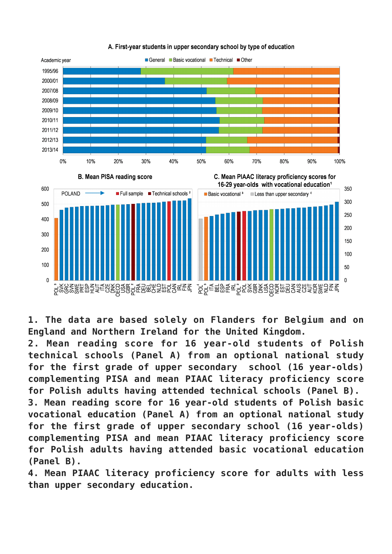



**1. The data are based solely on Flanders for Belgium and on England and Northern Ireland for the United Kingdom.**

**2. Mean reading score for 16 year-old students of Polish technical schools (Panel A) from an optional national study for the first grade of upper secondary school (16 year-olds) complementing PISA and mean PIAAC literacy proficiency score for Polish adults having attended technical schools (Panel B). 3. Mean reading score for 16 year-old students of Polish basic vocational education (Panel A) from an optional national study for the first grade of upper secondary school (16 year-olds) complementing PISA and mean PIAAC literacy proficiency score for Polish adults having attended basic vocational education (Panel B).**

**4. Mean PIAAC literacy proficiency score for adults with less than upper secondary education.**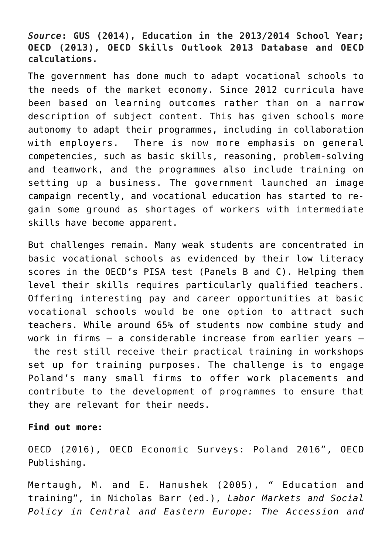## *Source***: GUS (2014), Education in the 2013/2014 School Year; OECD (2013), OECD Skills Outlook 2013 Database and OECD calculations.**

The government has done much to adapt vocational schools to the needs of the market economy. Since 2012 curricula have been based on learning outcomes rather than on a narrow description of subject content. This has given schools more autonomy to adapt their programmes, including in collaboration with employers. There is now more emphasis on general competencies, such as basic skills, reasoning, problem-solving and teamwork, and the programmes also include training on setting up a business. The government launched an image campaign recently, and vocational education has started to regain some ground as shortages of workers with intermediate skills have become apparent.

But challenges remain. Many weak students are concentrated in basic vocational schools as evidenced by their low literacy scores in the OECD's PISA test (Panels B and C). Helping them level their skills requires particularly qualified teachers. Offering interesting pay and career opportunities at basic vocational schools would be one option to attract such teachers. While around 65% of students now combine study and work in firms – a considerable increase from earlier years – the rest still receive their practical training in workshops set up for training purposes. The challenge is to engage Poland's many small firms to offer work placements and contribute to the development of programmes to ensure that they are relevant for their needs.

## **Find out more:**

OECD (2016), [OECD Economic Surveys: Poland 2016](http://www.oecd.org/eco/surveys/economic-survey-Poland.htm)", OECD Publishing.

Mertaugh, M. and E. Hanushek (2005), " Education and training", in Nicholas Barr (ed.), *Labor Markets and Social Policy in Central and Eastern Europe: The Accession and*